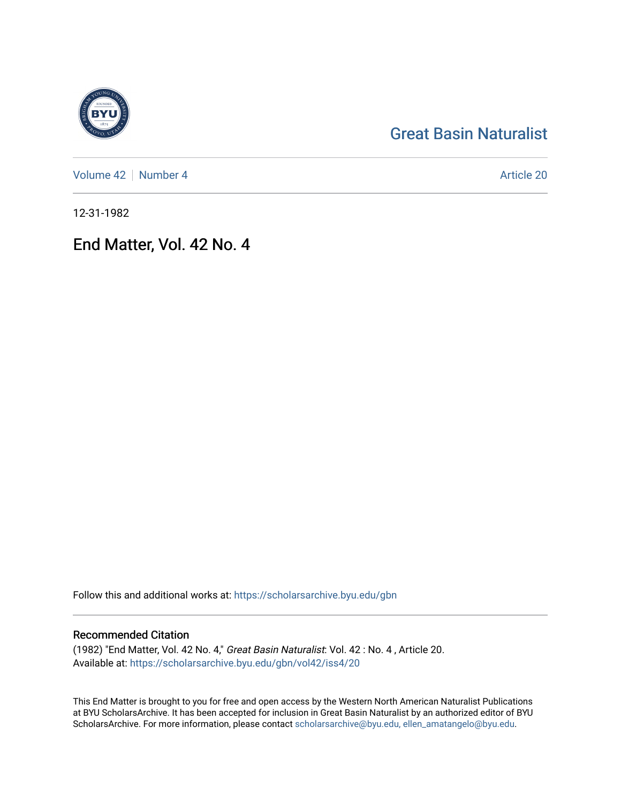# [Great Basin Naturalist](https://scholarsarchive.byu.edu/gbn)

[Volume 42](https://scholarsarchive.byu.edu/gbn/vol42) | [Number 4](https://scholarsarchive.byu.edu/gbn/vol42/iss4) Article 20

12-31-1982

# End Matter, Vol. 42 No. 4

Follow this and additional works at: [https://scholarsarchive.byu.edu/gbn](https://scholarsarchive.byu.edu/gbn?utm_source=scholarsarchive.byu.edu%2Fgbn%2Fvol42%2Fiss4%2F20&utm_medium=PDF&utm_campaign=PDFCoverPages) 

### Recommended Citation

(1982) "End Matter, Vol. 42 No. 4," Great Basin Naturalist: Vol. 42 : No. 4 , Article 20. Available at: [https://scholarsarchive.byu.edu/gbn/vol42/iss4/20](https://scholarsarchive.byu.edu/gbn/vol42/iss4/20?utm_source=scholarsarchive.byu.edu%2Fgbn%2Fvol42%2Fiss4%2F20&utm_medium=PDF&utm_campaign=PDFCoverPages) 

This End Matter is brought to you for free and open access by the Western North American Naturalist Publications at BYU ScholarsArchive. It has been accepted for inclusion in Great Basin Naturalist by an authorized editor of BYU ScholarsArchive. For more information, please contact [scholarsarchive@byu.edu, ellen\\_amatangelo@byu.edu.](mailto:scholarsarchive@byu.edu,%20ellen_amatangelo@byu.edu)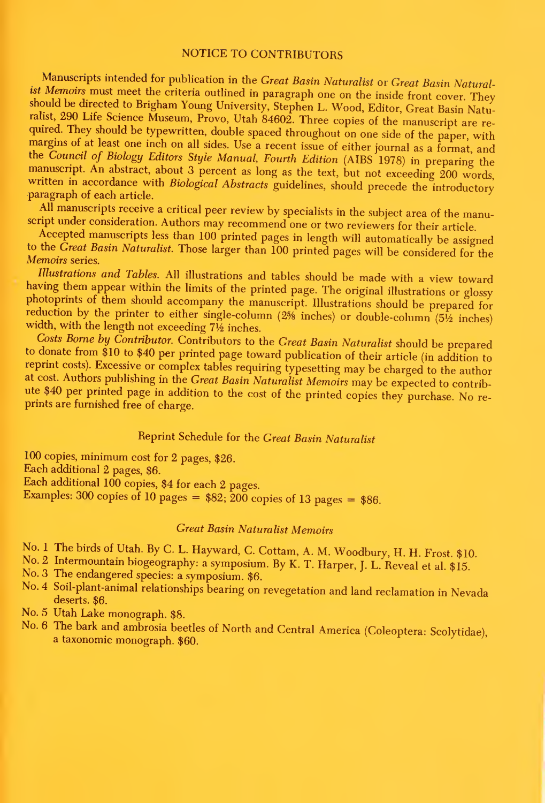#### NOTICE TO CONTRIBUTORS

Manuscripts intended for publication in the Great Basin Naturalist or Great Basin Naturalist Memoirs must meet the criteria outlined in paragraph one on the inside front cover. They should be directed to Brigham Young University, Stephen L. Wood, Editor, Great Basin Naturalist, 290 Life Science Museum, Provo, Utah 84602. Three copies of the manuscript are reralist 290 Life Scheme Museum, Provide Science Museum, Provided. They should be typewritten, double spaced throughout on one side of the paper, with margins of at least one inch on all sides. Use a recent issue of either journal as a format, and<br>the Council of Biology Editors Style Manual, Fourth Edition (AIBS 1978) in preparing the manuscript. An abstract, about 3 percent as long as the text, but not exceeding 200 words, written in accordance with *Biological Abstracts* guidelines, should precede the introductory paragraph of each article.

All manuscripts receive a critical peer review by specialists in the subject area of the manuscript under consideration. Authors may recommend one or two reviewers for their article.

Accepted manuscripts less than 100 printed pages in length will automatically be assigned to the Great Basin Naturalist. Those larger than <sup>100</sup> printed pages will be considered for the Memoirs series.

Illustrations and Tables. All illustrations and tables should be made with a view toward having them appear within the limits of the printed page. The original illustrations or glossy photoprints of them should accompany the manuscript. Illustrations should be prepared for reduction by the printer to either single-column  $(2\frac{5}{8}$  inches) or double-column  $(5\frac{1}{2})$  inches) width, with the length not exceeding  $7\frac{1}{2}$  inches.

Costs Borne by Contributor. Contributors to the Great Basin Naturalist should be prepared to donate from \$10 to \$40 per printed page toward publication of their article (in addition to to bonate from the state from the Great Basin publication of the expected page to the author at cost. Authors publishing in the Great Basin Naturalist Memoirs may be expected to contribute \$40 per printed page in addition to the cost of the printed copies they purchase. No re- prints are furnished free of charge.

## Reprint Schedule for the Great Basin Naturalist

<sup>100</sup> copies, minimum cost for <sup>2</sup> pages, \$26. Each additional 2 pages, \$6. Each additional 100 copies, \$4 for each <sup>2</sup> pages. Examples: 300 copies of 10 pages =  $$82$ ; 200 copies of 13 pages =  $$86$ .

### Great Basin Naturalist Memoirs

No. 1 The birds of Utah. By C. L. Hayward, C. Cottam, A. M. Woodbury, H. H. Frost. \$10.

- No. 2 Intermountain biogeography: a symposium. By K. T. Harper, J. L. Reveal et al. \$15. No. 3 The endangered species: a symposium. \$6.
- 
- No. <sup>4</sup> Soil-plant-animal relationships bearing on revegetation and land reclamation in Nevada deserts. \$6.
- No. 5 Utah Lake monograph. \$8.
- No. 6 The bark and ambrosia beetles of North and Central America (Coleoptera: Scolytidae), a taxonomic monograph. \$60.